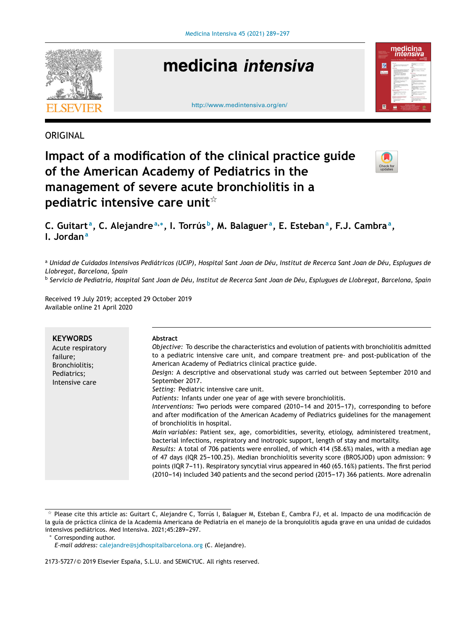

# medicina intensiva





### ORIGINAL

## **Impact of a modification of the clinical practice guide of the American Academy of Pediatrics in the management of severe acute bronchiolitis in a pediatric intensive care unit**-



C. Guitart<sup>a</sup>, C. Alejandre<sup>a,</sup>\*, I. Torrús<sup>b</sup>, M. Balaguer<sup>a</sup>, E. Esteban<sup>a</sup>, F.J. Cambra<sup>a</sup>, **I. Jordan<sup>a</sup>**

a Unidad de Cuidados Intensivos Pediátricos (UCIP), Hospital Sant Joan de Déu, Institut de Recerca Sant Joan de Déu, Esplugues de *Llobregat, Barcelona, Spain*

<sup>b</sup> Servicio de Pediatría, Hospital Sant Joan de Déu, Institut de Recerca Sant Joan de Déu, Esplugues de Llobregat, Barcelona, Spain

Received 19 July 2019; accepted 29 October 2019 Available online 21 April 2020

| <b>KEYWORDS</b><br>Acute respiratory<br>failure;<br>Bronchiolitis;<br>Pediatrics;<br>Intensive care | <b>Abstract</b><br>Objective: To describe the characteristics and evolution of patients with bronchiolitis admitted<br>to a pediatric intensive care unit, and compare treatment pre- and post-publication of the<br>American Academy of Pediatrics clinical practice guide.<br>Design: A descriptive and observational study was carried out between September 2010 and<br>September 2017.<br>Setting: Pediatric intensive care unit.<br>Patients: Infants under one year of age with severe bronchiolitis.<br>Interventions: Two periods were compared (2010-14 and 2015-17), corresponding to before<br>and after modification of the American Academy of Pediatrics guidelines for the management |
|-----------------------------------------------------------------------------------------------------|-------------------------------------------------------------------------------------------------------------------------------------------------------------------------------------------------------------------------------------------------------------------------------------------------------------------------------------------------------------------------------------------------------------------------------------------------------------------------------------------------------------------------------------------------------------------------------------------------------------------------------------------------------------------------------------------------------|
|                                                                                                     | of bronchiolitis in hospital.<br>Main variables: Patient sex, age, comorbidities, severity, etiology, administered treatment,<br>bacterial infections, respiratory and inotropic support, length of stay and mortality.<br>Results: A total of 706 patients were enrolled, of which 414 (58.6%) males, with a median age<br>of 47 days (IQR 25-100.25). Median bronchiolitis severity score (BROSJOD) upon admission: 9<br>points (IQR 7-11). Respiratory syncytial virus appeared in 460 (65.16%) patients. The first period<br>(2010–14) included 340 patients and the second period (2015–17) 366 patients. More adrenalin                                                                         |

 $^\star$  Please cite this article as: Guitart C, Alejandre C, Torrús I, Balaguer M, Esteban E, Cambra FJ, et al. Impacto de una modificación de la guía de práctica clínica de la Academia Americana de Pediatría en el manejo de la bronquiolitis aguda grave en una unidad de cuidados intensivos pediátricos. Med Intensiva. 2021;45:289-297.

<sup>∗</sup> Corresponding author.

2173-5727/© 2019 Elsevier España, S.L.U. and SEMICYUC. All rights reserved.

*E-mail address:* [calejandre@sjdhospitalbarcelona.org](mailto:calejandre@sjdhospitalbarcelona.org) (C. Alejandre).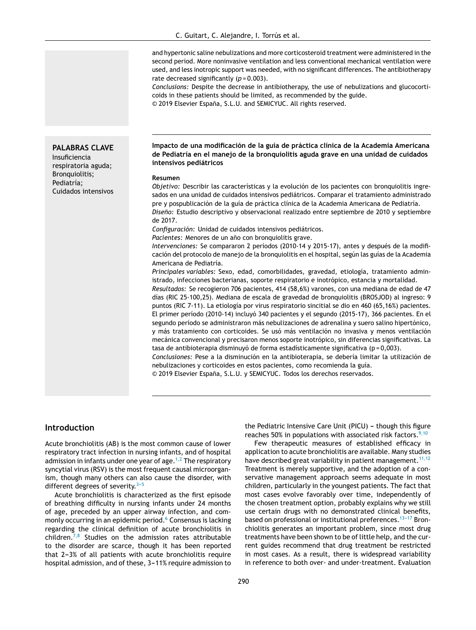and hypertonic saline nebulizations and more corticosteroid treatment were administered in the second period. More noninvasive ventilation and less conventional mechanical ventilation were used, and less inotropic support was needed, with no significant differences. The antibiotherapy rate decreased significantly (*p* = 0.003).

*Conclusions:* Despite the decrease in antibiotherapy, the use of nebulizations and glucocorticoids in these patients should be limited, as recommended by the guide. © 2019 Elsevier España, S.L.U. and SEMICYUC. All rights reserved.

#### **PALABRAS CLAVE**

Insuficiencia respiratoria aguda; Bronquiolitis; Pediatría; Cuidados intensivos

#### **Impacto de una modificación de la guía de práctica clínica de la Academia Americana de Pediatría en el manejo de la bronquiolitis aguda grave en una unidad de cuidados intensivos pediátricos**

#### **Resumen**

*Objetivo:* Describir las características y la evolución de los pacientes con bronquiolitis ingresados en una unidad de cuidados intensivos pediátricos. Comparar el tratamiento administrado pre y pospublicación de la guía de práctica clínica de la Academia Americana de Pediatría. *Diseno: ˜* Estudio descriptivo y observacional realizado entre septiembre de 2010 y septiembre de 2017.

*Configuración:* Unidad de cuidados intensivos pediátricos.

Pacientes: Menores de un año con bronquiolitis grave.

*Intervenciones:* Se compararon 2 períodos (2010-14 y 2015-17), antes y después de la modificación del protocolo de manejo de la bronquiolitis en el hospital, según las guías de la Academia Americana de Pediatría.

*Principales variables:* Sexo, edad, comorbilidades, gravedad, etiología, tratamiento administrado, infecciones bacterianas, soporte respiratorio e inotrópico, estancia y mortalidad. *Resultados:* Se recogieron 706 pacientes, 414 (58,6%) varones, con una mediana de edad de 47 días (RIC 25-100,25). Mediana de escala de gravedad de bronquiolitis (BROSJOD) al ingreso: 9 puntos (RIC 7-11). La etiología por virus respiratorio sincitial se dio en 460 (65,16%) pacientes. El primer período (2010-14) incluyó 340 pacientes y el segundo (2015-17), 366 pacientes. En el segundo período se administraron más nebulizaciones de adrenalina y suero salino hipertónico, y más tratamiento con corticoides. Se usó más ventilación no invasiva y menos ventilación mecánica convencional y precisaron menos soporte inotrópico, sin diferencias significativas. La tasa de antibioterapia disminuyó de forma estadísticamente significativa (p = 0,003). *Conclusiones:* Pese a la disminución en la antibioterapia, se debería limitar la utilización de nebulizaciones y corticoides en estos pacientes, como recomienda la guía.

© 2019 Elsevier España, S.L.U. y SEMICYUC. Todos los derechos reservados.

#### **Introduction**

Acute bronchiolitis (AB) is the most common cause of lower respiratory tract infection in nursing infants, and of hospital admission in infants under one year of age.<sup>[1,2](#page-7-0)</sup> The respiratory syncytial virus (RSV) is the most frequent causal microorganism, though many others can also cause the disorder, with different degrees of severity. $3-5$ 

Acute bronchiolitis is characterized as the first episode of breathing difficulty in nursing infants under 24 months of age, preceded by an upper airway infection, and com-monly occurring in an epidemic period.<sup>6</sup> [C](#page-7-0)onsensus is lacking regarding the clinical definition of acute bronchiolitis in children.<sup>[7,8](#page-7-0)</sup> Studies on the admission rates attributable to the disorder are scarce, though it has been reported that  $2-3%$  of all patients with acute bronchiolitis require hospital admission, and of these, 3–11% require admission to

the Pediatric Intensive Care Unit (PICU) - though this figure reaches 50% in populations with associated risk factors.<sup>[9,10](#page-7-0)</sup>

Few therapeutic measures of established efficacy in application to acute bronchiolitis are available. Many studies have described great variability in patient management.  $11,12$ Treatment is merely supportive, and the adoption of a conservative management approach seems adequate in most children, particularly in the youngest patients. The fact that most cases evolve favorably over time, independently of the chosen treatment option, probably explains why we still use certain drugs with no demonstrated clinical benefits, based on professional or institutional preferences.  $13-17$  Bronchiolitis generates an important problem, since most drug treatments have been shown to be of little help, and the current guides recommend that drug treatment be restricted in most cases. As a result, there is widespread variability in reference to both over- and under-treatment. Evaluation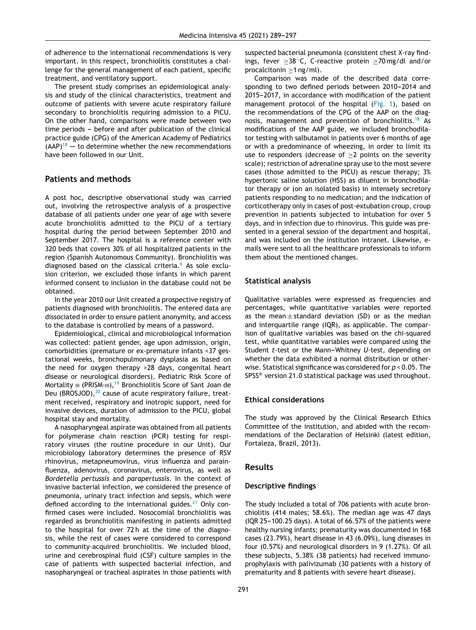of adherence to the international recommendations is very important. In this respect, bronchiolitis constitutes a challenge for the general management of each patient, specific treatment, and ventilatory support.

The present study comprises an epidemiological analysis and study of the clinical characteristics, treatment and outcome of patients with severe acute respiratory failure secondary to bronchiolitis requiring admission to a PICU. On the other hand, comparisons were made between two time periods - before and after publication of the clinical practice guide (CPG) of the American Academy of Pediatrics  $(AAP)^{18}$  $(AAP)^{18}$  $(AAP)^{18}$  – to determine whether the new recommendations have been followed in our Unit.

#### **Patients and methods**

A post hoc, descriptive observational study was carried out, involving the retrospective analysis of a prospective database of all patients under one year of age with severe acute bronchiolitis admitted to the PICU of a tertiary hospital during the period between September 2010 and September 2017. The hospital is a reference center with 320 beds that covers 30% of all hospitalized patients in the region (Spanish Autonomous Community). Bronchiolitis was diagnosed based on the classical criteria.<sup>[6](#page-7-0)</sup> As sole exclusion criterion, we excluded those infants in which parent informed consent to inclusion in the database could not be obtained.

In the year 2010 our Unit created a prospective registry of patients diagnosed with bronchiolitis. The entered data are dissociated in order to ensure patient anonymity, and access to the database is controlled by means of a password.

Epidemiological, clinical and microbiological information was collected: patient gender, age upon admission, origin, comorbidities (premature or ex-premature infants <37 gestational weeks, bronchopulmonary dysplasia as based on the need for oxygen therapy >28 days, congenital heart disease or neurological disorders), Pediatric Risk Score of Mortality  $III$  (PRISM- $III$ ),<sup>[19](#page-7-0)</sup> Bronchiolitis Score of Sant Joan de Deu (BROSJOD), $20$  cause of acute respiratory failure, treatment received, respiratory and inotropic support, need for invasive devices, duration of admission to the PICU, global hospital stay and mortality.

A nasopharyngeal aspirate was obtained from all patients for polymerase chain reaction (PCR) testing for respiratory viruses (the routine procedure in our Unit). Our microbiology laboratory determines the presence of RSV rhinovirus, metapneumovirus, virus influenza and parainfluenza, adenovirus, coronavirus, enterovirus, as well as *Bordetella pertussis* and *parapertussis*. In the context of invasive bacterial infection, we considered the presence of pneumonia, urinary tract infection and sepsis, which were defined according to the international guides. $21$  Only confirmed cases were included. Nosocomial bronchiolitis was regarded as bronchiolitis manifesting in patients admitted to the hospital for over 72 h at the time of the diagnosis, while the rest of cases were considered to correspond to community-acquired bronchiolitis. We included blood, urine and cerebrospinal fluid (CSF) culture samples in the case of patients with suspected bacterial infection, and nasopharyngeal or tracheal aspirates in those patients with suspected bacterial pneumonia (consistent chest X-ray findings, fever  $>38$  °C, C-reactive protein  $>70$  mg/dl and/or procalcitonin ≥1 ng/ml).

Comparison was made of the described data corresponding to two defined periods between 2010-2014 and 2015-2017, in accordance with modification of the patient management protocol of the hospital [\(Fig.](#page-3-0) 1), based on the recommendations of the CPG of the AAP on the diag-nosis, management and prevention of bronchiolitis.<sup>[18](#page-7-0)</sup> As modifications of the AAP guide, we included bronchodilator testing with salbutamol in patients over 6 months of age or with a predominance of wheezing, in order to limit its use to responders (decrease of  $\geq 2$  points on the severity scale); restriction of adrenaline spray use to the most severe cases (those admitted to the PICU) as rescue therapy; 3% hypertonic saline solution (HSS) as diluent in bronchodilator therapy or (on an isolated basis) in intensely secretory patients responding to no medication; and the indication of corticotherapy only in cases of post-extubation croup, croup prevention in patients subjected to intubation for over 5 days, and in infection due to rhinovirus. This guide was presented in a general session of the department and hospital, and was included on the institution intranet. Likewise, emails were sent to all the healthcare professionals to inform them about the mentioned changes.

#### **Statistical analysis**

Qualitative variables were expressed as frequencies and percentages, while quantitative variables were reported as the mean  $\pm$  standard deviation (SD) or as the median and interquartile range (IQR), as applicable. The comparison of qualitative variables was based on the chi-squared test, while quantitative variables were compared using the Student *t*-test or the Mann-Whitney *U*-test, depending on whether the data exhibited a normal distribution or otherwise. Statistical significance was considered for *p* < 0.05. The SPSS® version 21.0 statistical package was used throughout.

#### **Ethical considerations**

The study was approved by the Clinical Research Ethics Committee of the institution, and abided with the recommendations of the Declaration of Helsinki (latest edition, Fortaleza, Brazil, 2013).

#### **Results**

#### **Descriptive findings**

The study included a total of 706 patients with acute bronchiolitis (414 males; 58.6%). The median age was 47 days (IQR 25-100.25 days). A total of  $66.57\%$  of the patients were healthy nursing infants; prematurity was documented in 168 cases (23.79%), heart disease in 43 (6.09%), lung diseases in four (0.57%) and neurological disorders in 9 (1.27%). Of all these subjects, 5.38% (38 patients) had received immunoprophylaxis with palivizumab (30 patients with a history of prematurity and 8 patients with severe heart disease).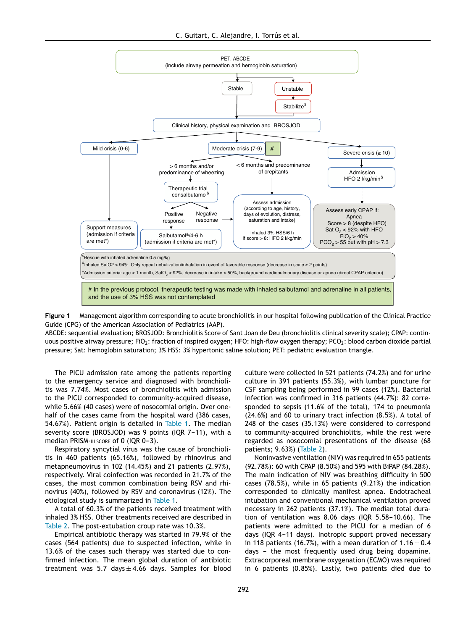<span id="page-3-0"></span>

**Figure 1** Management algorithm corresponding to acute bronchiolitis in our hospital following publication of the Clinical Practice Guide (CPG) of the American Association of Pediatrics (AAP).

ABCDE: sequential evaluation; BROSJOD: Bronchiolitis Score of Sant Joan de Deu (bronchiolitis clinical severity scale); CPAP: continuous positive airway pressure; FiO<sub>2</sub>: fraction of inspired oxygen; HFO: high-flow oxygen therapy; PCO<sub>2</sub>: blood carbon dioxide partial pressure; Sat: hemoglobin saturation; 3% HSS: 3% hypertonic saline solution; PET: pediatric evaluation triangle.

The PICU admission rate among the patients reporting to the emergency service and diagnosed with bronchiolitis was 7.74%. Most cases of bronchiolitis with admission to the PICU corresponded to community-acquired disease, while 5.66% (40 cases) were of nosocomial origin. Over onehalf of the cases came from the hospital ward (386 cases, 54.67%). Patient origin is detailed in [Table](#page-4-0) 1. The median severity score (BROSJOD) was 9 points (IQR  $7-11$ ), with a median PRISM-III score of 0 (IQR 0-3).

Respiratory syncytial virus was the cause of bronchiolitis in 460 patients (65.16%), followed by rhinovirus and metapneumovirus in 102 (14.45%) and 21 patients (2.97%), respectively. Viral coinfection was recorded in 21.7% of the cases, the most common combination being RSV and rhinovirus (40%), followed by RSV and coronavirus (12%). The etiological study is summarized in [Table](#page-4-0) 1.

A total of 60.3% of the patients received treatment with inhaled 3% HSS. Other treatments received are described in [Table](#page-5-0) 2. The post-extubation croup rate was 10.3%.

Empirical antibiotic therapy was started in 79.9% of the cases (564 patients) due to suspected infection, while in 13.6% of the cases such therapy was started due to confirmed infection. The mean global duration of antibiotic treatment was 5.7 days  $\pm$  4.66 days. Samples for blood culture were collected in 521 patients (74.2%) and for urine culture in 391 patients (55.3%), with lumbar puncture for CSF sampling being performed in 99 cases (12%). Bacterial infection was confirmed in 316 patients (44.7%): 82 corresponded to sepsis (11.6% of the total), 174 to pneumonia (24.6%) and 60 to urinary tract infection (8.5%). A total of 248 of the cases (35.13%) were considered to correspond to community-acquired bronchiolitis, while the rest were regarded as nosocomial presentations of the disease (68 patients; 9.63%) [\(Table](#page-5-0) 2).

Noninvasive ventilation (NIV) was required in 655 patients (92.78%): 60 with CPAP (8.50%) and 595 with BiPAP (84.28%). The main indication of NIV was breathing difficulty in 500 cases (78.5%), while in 65 patients (9.21%) the indication corresponded to clinically manifest apnea. Endotracheal intubation and conventional mechanical ventilation proved necessary in 262 patients (37.1%). The median total duration of ventilation was 8.06 days (IQR  $5.58-10.66$ ). The patients were admitted to the PICU for a median of 6 days (IQR 4-11 days). Inotropic support proved necessary in 118 patients (16.7%), with a mean duration of  $1.16 \pm 0.4$ days – the most frequently used drug being dopamine. Extracorporeal membrane oxygenation (ECMO) was required in 6 patients (0.85%). Lastly, two patients died due to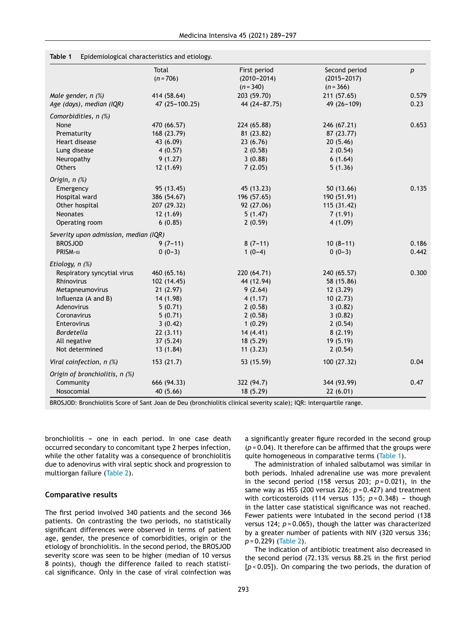|                                       | Total          | First period    | Second period   | p     |
|---------------------------------------|----------------|-----------------|-----------------|-------|
|                                       | $(n = 706)$    | $(2010 - 2014)$ | $(2015 - 2017)$ |       |
|                                       |                | $(n = 340)$     | $(n = 366)$     |       |
| Male gender, n (%)                    | 414 (58.64)    | 203 (59.70)     | 211 (57.65)     | 0.579 |
| Age (days), median (IQR)              | 47 (25-100.25) | 44 (24-87.75)   | 49 (26-109)     | 0.23  |
| Comorbidities, n (%)                  |                |                 |                 |       |
| None                                  | 470 (66.57)    | 224 (65.88)     | 246 (67.21)     | 0.653 |
| Prematurity                           | 168 (23.79)    | 81 (23.82)      | 87 (23.77)      |       |
| Heart disease                         | 43 (6.09)      | 23(6.76)        | 20(5.46)        |       |
| Lung disease                          | 4(0.57)        | 2(0.58)         | 2(0.54)         |       |
| Neuropathy                            | 9(1.27)        | 3(0.88)         | 6(1.64)         |       |
| Others                                | 12(1.69)       | 7(2.05)         | 5(1.36)         |       |
| Origin, $n$ $(\%)$                    |                |                 |                 |       |
| Emergency                             | 95 (13.45)     | 45 (13.23)      | 50(13.66)       | 0.135 |
| Hospital ward                         | 386 (54.67)    | 196 (57.65)     | 190 (51.91)     |       |
| Other hospital                        | 207 (29.32)    | 92 (27.06)      | 115 (31.42)     |       |
| <b>Neonates</b>                       | 12 (1.69)      | 5(1.47)         | 7(1.91)         |       |
| Operating room                        | 6(0.85)        | 2(0.59)         | 4(1.09)         |       |
| Severity upon admission, median (IQR) |                |                 |                 |       |
| <b>BROSJOD</b>                        | $9(7-11)$      | $8(7-11)$       | $10(8-11)$      | 0.186 |
| PRISM-III                             | $0(0-3)$       | $1(0-4)$        | $0(0-3)$        | 0.442 |
| Etiology, $n$ $%$                     |                |                 |                 |       |
| Respiratory syncytial virus           | 460 (65.16)    | 220 (64.71)     | 240 (65.57)     | 0.300 |
| Rhinovirus                            | 102 (14.45)    | 44 (12.94)      | 58 (15.86)      |       |
| Metapneumovirus                       | 21(2.97)       | 9(2.64)         | 12(3.29)        |       |
| Influenza (A and B)                   | 14 (1.98)      | 4(1.17)         | 10(2.73)        |       |
| Adenovirus                            | 5(0.71)        | 2(0.58)         | 3(0.82)         |       |
| Coronavirus                           | 5(0.71)        | 2(0.58)         | 3(0.82)         |       |
| Enterovirus                           | 3(0.42)        | 1(0.29)         | 2(0.54)         |       |
| <b>Bordetella</b>                     | 22(3.11)       | 14(4.41)        | 8(2.19)         |       |
| All negative                          | 37(5.24)       | 18 (5.29)       | 19 (5.19)       |       |
| Not determined                        | 13(1.84)       | 11(3.23)        | 2(0.54)         |       |
| Viral coinfection, $n$ (%)            | 153(21.7)      | 53 (15.59)      | 100 (27.32)     | 0.04  |
| Origin of bronchiolitis, n (%)        |                |                 |                 |       |
| Community                             | 666 (94.33)    | 322 (94.7)      | 344 (93.99)     | 0.47  |
| Nosocomial                            | 40(5.66)       | 18 (5.29)       | 22(6.01)        |       |

#### <span id="page-4-0"></span>**Table 1** Epidemiological characteristics and etiology.

BROSJOD: Bronchiolitis Score of Sant Joan de Deu (bronchiolitis clinical severity scale); IQR: interquartile range.

bronchiolitis - one in each period. In one case death occurred secondary to concomitant type 2 herpes infection, while the other fatality was a consequence of bronchiolitis due to adenovirus with viral septic shock and progression to multiorgan failure [\(Table](#page-5-0) 2).

#### **Comparative results**

The first period involved 340 patients and the second 366 patients. On contrasting the two periods, no statistically significant differences were observed in terms of patient age, gender, the presence of comorbidities, origin or the etiology of bronchiolitis. In the second period, the BROSJOD severity score was seen to be higher (median of 10 versus 8 points), though the difference failed to reach statistical significance. Only in the case of viral coinfection was a significantly greater figure recorded in the second group (*p* = 0.04). It therefore can be affirmed that the groups were quite homogeneous in comparative terms (Table 1).

The administration of inhaled salbutamol was similar in both periods. Inhaled adrenaline use was more prevalent in the second period (158 versus 203; *p* = 0.021), in the same way as HSS (200 versus 226; *p* = 0.427) and treatment with corticosteroids (114 versus 135;  $p = 0.348$ ) - though in the latter case statistical significance was not reached. Fewer patients were intubated in the second period (138 versus 124; *p* = 0.065), though the latter was characterized by a greater number of patients with NIV (320 versus 336; *p* = 0.229) ([Table](#page-5-0) 2).

The indication of antibiotic treatment also decreased in the second period (72.13% versus 88.2% in the first period [*p* < 0.05]). On comparing the two periods, the duration of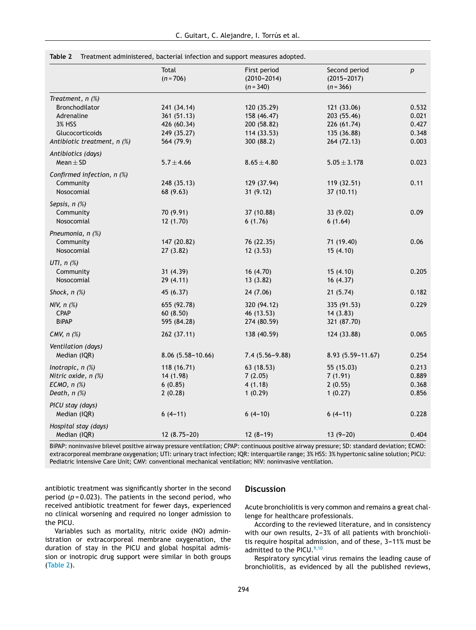<span id="page-5-0"></span>

| Table 2 | Treatment administered, bacterial infection and support measures adopted. |  |  |  |
|---------|---------------------------------------------------------------------------|--|--|--|
|         |                                                                           |  |  |  |

|                              | Total<br>$(n = 706)$ | First period<br>$(2010 - 2014)$<br>$(n = 340)$ | Second period<br>$(2015 - 2017)$<br>$(n = 366)$ | $\boldsymbol{p}$ |
|------------------------------|----------------------|------------------------------------------------|-------------------------------------------------|------------------|
| Treatment, $n$ $(\%)$        |                      |                                                |                                                 |                  |
| <b>Bronchodilator</b>        | 241 (34.14)          | 120 (35.29)                                    | 121 (33.06)                                     | 0.532            |
| Adrenaline                   | 361 (51.13)          | 158 (46.47)                                    | 203 (55.46)                                     | 0.021            |
| <b>3% HSS</b>                | 426 (60.34)          | 200 (58.82)                                    | 226 (61.74)                                     | 0.427            |
| Glucocorticoids              | 249 (35.27)          | 114 (33.53)                                    | 135 (36.88)                                     | 0.348            |
| Antibiotic treatment, n (%)  | 564 (79.9)           | 300 (88.2)                                     | 264 (72.13)                                     | 0.003            |
| Antibiotics (days)           |                      |                                                |                                                 |                  |
| Mean $\pm$ SD                | $5.7 \pm 4.66$       | $8.65 \pm 4.80$                                | $5.05 \pm 3.178$                                | 0.023            |
| Confirmed infection, $n$ (%) |                      |                                                |                                                 |                  |
| Community                    | 248 (35.13)          | 129 (37.94)                                    | 119 (32.51)                                     | 0.11             |
| Nosocomial                   | 68 (9.63)            | 31(9.12)                                       | 37 (10.11)                                      |                  |
| Sepsis, n (%)                |                      |                                                |                                                 |                  |
| Community                    | 70 (9.91)            | 37 (10.88)                                     | 33 (9.02)                                       | 0.09             |
| Nosocomial                   | 12(1.70)             | 6(1.76)                                        | 6(1.64)                                         |                  |
| Pneumonia, n (%)             |                      |                                                |                                                 |                  |
| Community                    | 147 (20.82)          | 76 (22.35)                                     | 71 (19.40)                                      | 0.06             |
| Nosocomial                   | 27 (3.82)            | 12(3.53)                                       | 15(4.10)                                        |                  |
| UTI, $n$ $(\%)$              |                      |                                                |                                                 |                  |
| Community                    | 31(4.39)             | 16(4.70)                                       | 15(4.10)                                        | 0.205            |
| Nosocomial                   | 29 (4.11)            | 13(3.82)                                       | 16 (4.37)                                       |                  |
| Shock, $n$ $(\%)$            | 45 (6.37)            | 24 (7.06)                                      | 21(5.74)                                        | 0.182            |
| NIV, $n$ $(\%)$              | 655 (92.78)          | 320 (94.12)                                    | 335 (91.53)                                     | 0.229            |
| <b>CPAP</b>                  | 60(8.50)             | 46 (13.53)                                     | 14(3.83)                                        |                  |
| <b>BiPAP</b>                 | 595 (84.28)          | 274 (80.59)                                    | 321 (87.70)                                     |                  |
| CMV, $n$ $(\%)$              | 262 (37.11)          | 138 (40.59)                                    | 124 (33.88)                                     | 0.065            |
| Ventilation (days)           |                      |                                                |                                                 |                  |
| Median (IQR)                 | $8.06(5.58 - 10.66)$ | $7.4(5.56 - 9.88)$                             | 8.93 (5.59-11.67)                               | 0.254            |
| Inotropic, $n$ $(\%)$        | 118 (16.71)          | 63 (18.53)                                     | 55 (15.03)                                      | 0.213            |
| Nitric oxide, n (%)          | 14 (1.98)            | 7(2.05)                                        | 7(1.91)                                         | 0.889            |
| ECMO, $n$ $%$                | 6(0.85)              | 4(1.18)                                        | 2(0.55)                                         | 0.368            |
| Death, $n$ $%$               | 2(0.28)              | 1(0.29)                                        | 1(0.27)                                         | 0.856            |
| PICU stay (days)             |                      |                                                |                                                 |                  |
| Median (IQR)                 | $6(4-11)$            | $6(4-10)$                                      | $6(4-11)$                                       | 0.228            |
| Hospital stay (days)         |                      |                                                |                                                 |                  |
| Median (IQR)                 | $12(8.75-20)$        | $12(8-19)$                                     | $13(9-20)$                                      | 0.404            |

BiPAP: noninvasive bilevel positive airway pressure ventilation; CPAP: continuous positive airway pressure; SD: standard deviation; ECMO: extracorporeal membrane oxygenation; UTI: urinary tract infection; IQR: interquartile range; 3% HSS: 3% hypertonic saline solution; PICU: Pediatric Intensive Care Unit; CMV: conventional mechanical ventilation; NIV: noninvasive ventilation.

antibiotic treatment was significantly shorter in the second period  $(p = 0.023)$ . The patients in the second period, who received antibiotic treatment for fewer days, experienced no clinical worsening and required no longer admission to the PICU.

Variables such as mortality, nitric oxide (NO) administration or extracorporeal membrane oxygenation, the duration of stay in the PICU and global hospital admission or inotropic drug support were similar in both groups (Table 2).

#### **Discussion**

Acute bronchiolitis is very common and remains a great challenge for healthcare professionals.

According to the reviewed literature, and in consistency with our own results,  $2-3%$  of all patients with bronchiolitis require hospital admission, and of these, 3-11% must be admitted to the PICU. $9,10$ 

Respiratory syncytial virus remains the leading cause of bronchiolitis, as evidenced by all the published reviews,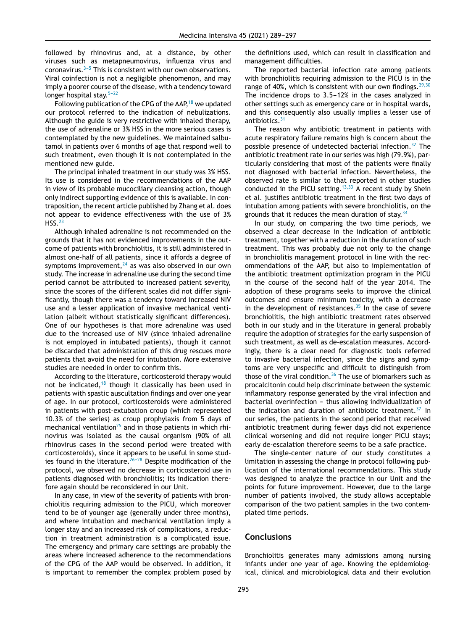followed by rhinovirus and, at a distance, by other viruses such as metapneumovirus, influenza virus and coronavirus. $3-5$  This is consistent with our own observations. Viral coinfection is not a negligible phenomenon, and may imply a poorer course of the disease, with a tendency toward longer hospital stay. $5-22$ 

Following publication of the CPG of the AAP,<sup>[18](#page-7-0)</sup> we updated our protocol referred to the indication of nebulizations. Although the guide is very restrictive with inhaled therapy, the use of adrenaline or 3% HSS in the more serious cases is contemplated by the new guidelines. We maintained salbutamol in patients over 6 months of age that respond well to such treatment, even though it is not contemplated in the mentioned new guide.

The principal inhaled treatment in our study was 3% HSS. Its use is considered in the recommendations of the AAP in view of its probable mucociliary cleansing action, though only indirect supporting evidence of this is available. In contraposition, the recent article published by Zhang et al. does not appear to evidence effectiveness with the use of 3% HSS.[23](#page-7-0)

Although inhaled adrenaline is not recommended on the grounds that it has not evidenced improvements in the outcome of patients with bronchiolitis, it is still administered in almost one-half of all patients, since it affords a degree of symptoms improvement,  $24$  as was also observed in our own study. The increase in adrenaline use during the second time period cannot be attributed to increased patient severity, since the scores of the different scales did not differ significantly, though there was a tendency toward increased NIV use and a lesser application of invasive mechanical ventilation (albeit without statistically significant differences). One of our hypotheses is that more adrenaline was used due to the increased use of NIV (since inhaled adrenaline is not employed in intubated patients), though it cannot be discarded that administration of this drug rescues more patients that avoid the need for intubation. More extensive studies are needed in order to confirm this.

According to the literature, corticosteroid therapy would not be indicated, $18$  though it classically has been used in patients with spastic auscultation findings and over one year of age. In our protocol, corticosteroids were administered in patients with post-extubation croup (which represented 10.3% of the series) as croup prophylaxis from 5 days of mechanical ventilation $^{25}$  $^{25}$  $^{25}$  and in those patients in which rhinovirus was isolated as the causal organism (90% of all rhinovirus cases in the second period were treated with corticosteroids), since it appears to be useful in some studies found in the literature. $26-28$  Despite modification of the protocol, we observed no decrease in corticosteroid use in patients diagnosed with bronchiolitis; its indication therefore again should be reconsidered in our Unit.

In any case, in view of the severity of patients with bronchiolitis requiring admission to the PICU, which moreover tend to be of younger age (generally under three months), and where intubation and mechanical ventilation imply a longer stay and an increased risk of complications, a reduction in treatment administration is a complicated issue. The emergency and primary care settings are probably the areas where increased adherence to the recommendations of the CPG of the AAP would be observed. In addition, it is important to remember the complex problem posed by

the definitions used, which can result in classification and management difficulties.

The reported bacterial infection rate among patients with bronchiolitis requiring admission to the PICU is in the range of 40%, which is consistent with our own findings.  $29,30$ The incidence drops to  $3.5-12%$  in the cases analyzed in other settings such as emergency care or in hospital wards, and this consequently also usually implies a lesser use of antibiotics.<sup>[31](#page-8-0)</sup>

The reason why antibiotic treatment in patients with acute respiratory failure remains high is concern about the possible presence of undetected bacterial infection.<sup>[32](#page-8-0)</sup> The antibiotic treatment rate in our series was high (79.9%), particularly considering that most of the patients were finally not diagnosed with bacterial infection. Nevertheless, the observed rate is similar to that reported in other studies conducted in the PICU setting.<sup>[13,33](#page-7-0)</sup> A recent study by Shein et al. justifies antibiotic treatment in the first two days of intubation among patients with severe bronchiolitis, on the grounds that it reduces the mean duration of stay.  $34$ 

In our study, on comparing the two time periods, we observed a clear decrease in the indication of antibiotic treatment, together with a reduction in the duration of such treatment. This was probably due not only to the change in bronchiolitis management protocol in line with the recommendations of the AAP, but also to implementation of the antibiotic treatment optimization program in the PICU in the course of the second half of the year 2014. The adoption of these programs seeks to improve the clinical outcomes and ensure minimum toxicity, with a decrease in the development of resistances. $35$  In the case of severe bronchiolitis, the high antibiotic treatment rates observed both in our study and in the literature in general probably require the adoption of strategies for the early suspension of such treatment, as well as de-escalation measures. Accordingly, there is a clear need for diagnostic tools referred to invasive bacterial infection, since the signs and symptoms are very unspecific and difficult to distinguish from those of the viral condition. $36$  The use of biomarkers such as procalcitonin could help discriminate between the systemic inflammatory response generated by the viral infection and bacterial overinfection - thus allowing individualization of the indication and duration of antibiotic treatment. $37$  In our series, the patients in the second period that received antibiotic treatment during fewer days did not experience clinical worsening and did not require longer PICU stays; early de-escalation therefore seems to be a safe practice.

The single-center nature of our study constitutes a limitation in assessing the change in protocol following publication of the international recommendations. This study was designed to analyze the practice in our Unit and the points for future improvement. However, due to the large number of patients involved, the study allows acceptable comparison of the two patient samples in the two contemplated time periods.

#### **Conclusions**

Bronchiolitis generates many admissions among nursing infants under one year of age. Knowing the epidemiological, clinical and microbiological data and their evolution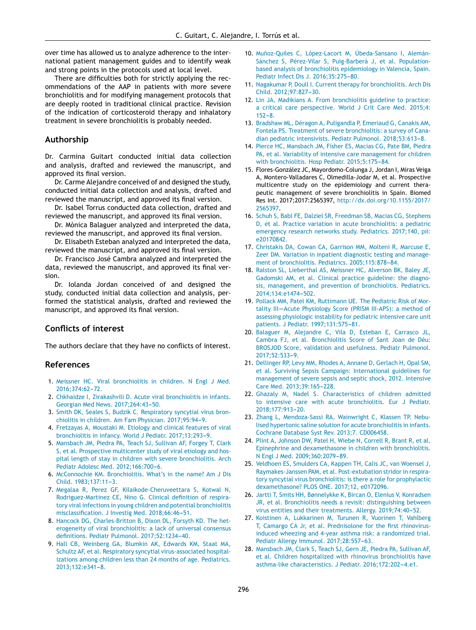<span id="page-7-0"></span>over time has allowed us to analyze adherence to the international patient management guides and to identify weak and strong points in the protocols used at local level.

There are difficulties both for strictly applying the recommendations of the AAP in patients with more severe bronchiolitis and for modifying management protocols that are deeply rooted in traditional clinical practice. Revision of the indication of corticosteroid therapy and inhalatory treatment in severe bronchiolitis is probably needed.

#### **Authorship**

Dr. Carmina Guitart conducted initial data collection and analysis, drafted and reviewed the manuscript, and approved its final version.

Dr. Carme Alejandre conceived of and designed the study, conducted initial data collection and analysis, drafted and reviewed the manuscript, and approved its final version.

Dr. Isabel Torrus conducted data collection, drafted and reviewed the manuscript, and approved its final version.

Dr. Mònica Balaguer analyzed and interpreted the data, reviewed the manuscript, and approved its final version.

Dr. Elisabeth Esteban analyzed and interpreted the data, reviewed the manuscript, and approved its final version.

Dr. Francisco José Cambra analyzed and interpreted the data, reviewed the manuscript, and approved its final version.

Dr. Iolanda Jordan conceived of and designed the study, conducted initial data collection and analysis, performed the statistical analysis, drafted and reviewed the manuscript, and approved its final version.

#### **Conflicts of interest**

The authors declare that they have no conflicts of interest.

#### **References**

- 1. [Meissner](http://refhub.elsevier.com/S2173-5727(20)30076-X/sbref0190) [HC.](http://refhub.elsevier.com/S2173-5727(20)30076-X/sbref0190) [Viral](http://refhub.elsevier.com/S2173-5727(20)30076-X/sbref0190) [bronchiolitis](http://refhub.elsevier.com/S2173-5727(20)30076-X/sbref0190) [in](http://refhub.elsevier.com/S2173-5727(20)30076-X/sbref0190) [children.](http://refhub.elsevier.com/S2173-5727(20)30076-X/sbref0190) [N](http://refhub.elsevier.com/S2173-5727(20)30076-X/sbref0190) [Engl](http://refhub.elsevier.com/S2173-5727(20)30076-X/sbref0190) [J](http://refhub.elsevier.com/S2173-5727(20)30076-X/sbref0190) [Med.](http://refhub.elsevier.com/S2173-5727(20)30076-X/sbref0190) [2016;374:62](http://refhub.elsevier.com/S2173-5727(20)30076-X/sbref0190)[-72.](http://refhub.elsevier.com/S2173-5727(20)30076-X/sbref0190)
- 2. [Chkhaidze](http://refhub.elsevier.com/S2173-5727(20)30076-X/sbref0195) [I,](http://refhub.elsevier.com/S2173-5727(20)30076-X/sbref0195) [Zirakashvili](http://refhub.elsevier.com/S2173-5727(20)30076-X/sbref0195) [D.](http://refhub.elsevier.com/S2173-5727(20)30076-X/sbref0195) [Acute](http://refhub.elsevier.com/S2173-5727(20)30076-X/sbref0195) [viral](http://refhub.elsevier.com/S2173-5727(20)30076-X/sbref0195) [bronchiolitis](http://refhub.elsevier.com/S2173-5727(20)30076-X/sbref0195) [in](http://refhub.elsevier.com/S2173-5727(20)30076-X/sbref0195) [infants.](http://refhub.elsevier.com/S2173-5727(20)30076-X/sbref0195) [Georgian](http://refhub.elsevier.com/S2173-5727(20)30076-X/sbref0195) [Med](http://refhub.elsevier.com/S2173-5727(20)30076-X/sbref0195) [News.](http://refhub.elsevier.com/S2173-5727(20)30076-X/sbref0195) [2017;264:43](http://refhub.elsevier.com/S2173-5727(20)30076-X/sbref0195)-[50.](http://refhub.elsevier.com/S2173-5727(20)30076-X/sbref0195)
- 3. [Smith](http://refhub.elsevier.com/S2173-5727(20)30076-X/sbref0200) [DK,](http://refhub.elsevier.com/S2173-5727(20)30076-X/sbref0200) [Seales](http://refhub.elsevier.com/S2173-5727(20)30076-X/sbref0200) [S,](http://refhub.elsevier.com/S2173-5727(20)30076-X/sbref0200) [Budzik](http://refhub.elsevier.com/S2173-5727(20)30076-X/sbref0200) [C.](http://refhub.elsevier.com/S2173-5727(20)30076-X/sbref0200) [Respiratory](http://refhub.elsevier.com/S2173-5727(20)30076-X/sbref0200) [syncytial](http://refhub.elsevier.com/S2173-5727(20)30076-X/sbref0200) [virus](http://refhub.elsevier.com/S2173-5727(20)30076-X/sbref0200) [bron](http://refhub.elsevier.com/S2173-5727(20)30076-X/sbref0200)[chiolitis](http://refhub.elsevier.com/S2173-5727(20)30076-X/sbref0200) [in](http://refhub.elsevier.com/S2173-5727(20)30076-X/sbref0200) [children.](http://refhub.elsevier.com/S2173-5727(20)30076-X/sbref0200) [Am](http://refhub.elsevier.com/S2173-5727(20)30076-X/sbref0200) [Fam](http://refhub.elsevier.com/S2173-5727(20)30076-X/sbref0200) [Physician.](http://refhub.elsevier.com/S2173-5727(20)30076-X/sbref0200) 2017:95:94[-9.](http://refhub.elsevier.com/S2173-5727(20)30076-X/sbref0200)
- 4. [Fretzayas](http://refhub.elsevier.com/S2173-5727(20)30076-X/sbref0205) [A,](http://refhub.elsevier.com/S2173-5727(20)30076-X/sbref0205) [Moustaki](http://refhub.elsevier.com/S2173-5727(20)30076-X/sbref0205) [M.](http://refhub.elsevier.com/S2173-5727(20)30076-X/sbref0205) [Etiology](http://refhub.elsevier.com/S2173-5727(20)30076-X/sbref0205) [and](http://refhub.elsevier.com/S2173-5727(20)30076-X/sbref0205) [clinical](http://refhub.elsevier.com/S2173-5727(20)30076-X/sbref0205) [features](http://refhub.elsevier.com/S2173-5727(20)30076-X/sbref0205) [of](http://refhub.elsevier.com/S2173-5727(20)30076-X/sbref0205) [viral](http://refhub.elsevier.com/S2173-5727(20)30076-X/sbref0205) [bronchiolitis](http://refhub.elsevier.com/S2173-5727(20)30076-X/sbref0205) [in](http://refhub.elsevier.com/S2173-5727(20)30076-X/sbref0205) [infancy.](http://refhub.elsevier.com/S2173-5727(20)30076-X/sbref0205) [World](http://refhub.elsevier.com/S2173-5727(20)30076-X/sbref0205) [J](http://refhub.elsevier.com/S2173-5727(20)30076-X/sbref0205) [Pediatr.](http://refhub.elsevier.com/S2173-5727(20)30076-X/sbref0205) 2017;13:293-9.
- 5. [Mansbach](http://refhub.elsevier.com/S2173-5727(20)30076-X/sbref0210) [JM,](http://refhub.elsevier.com/S2173-5727(20)30076-X/sbref0210) [Piedra](http://refhub.elsevier.com/S2173-5727(20)30076-X/sbref0210) [PA,](http://refhub.elsevier.com/S2173-5727(20)30076-X/sbref0210) [Teach](http://refhub.elsevier.com/S2173-5727(20)30076-X/sbref0210) [SJ,](http://refhub.elsevier.com/S2173-5727(20)30076-X/sbref0210) [Sullivan](http://refhub.elsevier.com/S2173-5727(20)30076-X/sbref0210) [AF,](http://refhub.elsevier.com/S2173-5727(20)30076-X/sbref0210) [Forgey](http://refhub.elsevier.com/S2173-5727(20)30076-X/sbref0210) [T,](http://refhub.elsevier.com/S2173-5727(20)30076-X/sbref0210) [Clark](http://refhub.elsevier.com/S2173-5727(20)30076-X/sbref0210) [S,](http://refhub.elsevier.com/S2173-5727(20)30076-X/sbref0210) [et](http://refhub.elsevier.com/S2173-5727(20)30076-X/sbref0210) [al.](http://refhub.elsevier.com/S2173-5727(20)30076-X/sbref0210) [Prospective](http://refhub.elsevier.com/S2173-5727(20)30076-X/sbref0210) [multicenter](http://refhub.elsevier.com/S2173-5727(20)30076-X/sbref0210) [study](http://refhub.elsevier.com/S2173-5727(20)30076-X/sbref0210) [of](http://refhub.elsevier.com/S2173-5727(20)30076-X/sbref0210) [viral](http://refhub.elsevier.com/S2173-5727(20)30076-X/sbref0210) [etiology](http://refhub.elsevier.com/S2173-5727(20)30076-X/sbref0210) [and](http://refhub.elsevier.com/S2173-5727(20)30076-X/sbref0210) [hos](http://refhub.elsevier.com/S2173-5727(20)30076-X/sbref0210)[pital](http://refhub.elsevier.com/S2173-5727(20)30076-X/sbref0210) [length](http://refhub.elsevier.com/S2173-5727(20)30076-X/sbref0210) [of](http://refhub.elsevier.com/S2173-5727(20)30076-X/sbref0210) [stay](http://refhub.elsevier.com/S2173-5727(20)30076-X/sbref0210) [in](http://refhub.elsevier.com/S2173-5727(20)30076-X/sbref0210) [children](http://refhub.elsevier.com/S2173-5727(20)30076-X/sbref0210) [with](http://refhub.elsevier.com/S2173-5727(20)30076-X/sbref0210) [severe](http://refhub.elsevier.com/S2173-5727(20)30076-X/sbref0210) [bronchiolitis.](http://refhub.elsevier.com/S2173-5727(20)30076-X/sbref0210) [Arch](http://refhub.elsevier.com/S2173-5727(20)30076-X/sbref0210) [Pediatr](http://refhub.elsevier.com/S2173-5727(20)30076-X/sbref0210) [Adolesc](http://refhub.elsevier.com/S2173-5727(20)30076-X/sbref0210) [Med.](http://refhub.elsevier.com/S2173-5727(20)30076-X/sbref0210) 2012;166:700-6.
- 6. [McConnochie](http://refhub.elsevier.com/S2173-5727(20)30076-X/sbref0215) [KM.](http://refhub.elsevier.com/S2173-5727(20)30076-X/sbref0215) [Bronchiolitis.](http://refhub.elsevier.com/S2173-5727(20)30076-X/sbref0215) [What's](http://refhub.elsevier.com/S2173-5727(20)30076-X/sbref0215) [in](http://refhub.elsevier.com/S2173-5727(20)30076-X/sbref0215) [the](http://refhub.elsevier.com/S2173-5727(20)30076-X/sbref0215) [name?](http://refhub.elsevier.com/S2173-5727(20)30076-X/sbref0215) [Am](http://refhub.elsevier.com/S2173-5727(20)30076-X/sbref0215) [J](http://refhub.elsevier.com/S2173-5727(20)30076-X/sbref0215) [Dis](http://refhub.elsevier.com/S2173-5727(20)30076-X/sbref0215) [Child.](http://refhub.elsevier.com/S2173-5727(20)30076-X/sbref0215) 1983:137:11-3.
- 7. [Megalaa](http://refhub.elsevier.com/S2173-5727(20)30076-X/sbref0220) [R,](http://refhub.elsevier.com/S2173-5727(20)30076-X/sbref0220) [Perez](http://refhub.elsevier.com/S2173-5727(20)30076-X/sbref0220) [GF,](http://refhub.elsevier.com/S2173-5727(20)30076-X/sbref0220) [Kilaikode-Cheruveettara](http://refhub.elsevier.com/S2173-5727(20)30076-X/sbref0220) [S,](http://refhub.elsevier.com/S2173-5727(20)30076-X/sbref0220) [Kotwal](http://refhub.elsevier.com/S2173-5727(20)30076-X/sbref0220) [N,](http://refhub.elsevier.com/S2173-5727(20)30076-X/sbref0220) [Rodriguez-Martinez](http://refhub.elsevier.com/S2173-5727(20)30076-X/sbref0220) [CE,](http://refhub.elsevier.com/S2173-5727(20)30076-X/sbref0220) [Nino](http://refhub.elsevier.com/S2173-5727(20)30076-X/sbref0220) [G.](http://refhub.elsevier.com/S2173-5727(20)30076-X/sbref0220) [Clinical](http://refhub.elsevier.com/S2173-5727(20)30076-X/sbref0220) [definition](http://refhub.elsevier.com/S2173-5727(20)30076-X/sbref0220) [of](http://refhub.elsevier.com/S2173-5727(20)30076-X/sbref0220) [respira](http://refhub.elsevier.com/S2173-5727(20)30076-X/sbref0220)[tory](http://refhub.elsevier.com/S2173-5727(20)30076-X/sbref0220) [viral](http://refhub.elsevier.com/S2173-5727(20)30076-X/sbref0220) [infections](http://refhub.elsevier.com/S2173-5727(20)30076-X/sbref0220) [in](http://refhub.elsevier.com/S2173-5727(20)30076-X/sbref0220) [young](http://refhub.elsevier.com/S2173-5727(20)30076-X/sbref0220) [children](http://refhub.elsevier.com/S2173-5727(20)30076-X/sbref0220) [and](http://refhub.elsevier.com/S2173-5727(20)30076-X/sbref0220) [potential](http://refhub.elsevier.com/S2173-5727(20)30076-X/sbref0220) [bronchiolitis](http://refhub.elsevier.com/S2173-5727(20)30076-X/sbref0220) [misclassification.](http://refhub.elsevier.com/S2173-5727(20)30076-X/sbref0220) [J](http://refhub.elsevier.com/S2173-5727(20)30076-X/sbref0220) [Investig](http://refhub.elsevier.com/S2173-5727(20)30076-X/sbref0220) [Med.](http://refhub.elsevier.com/S2173-5727(20)30076-X/sbref0220) 2018;66:46-51.
- 8. [Hancock](http://refhub.elsevier.com/S2173-5727(20)30076-X/sbref0225) [DG,](http://refhub.elsevier.com/S2173-5727(20)30076-X/sbref0225) [Charles-Britton](http://refhub.elsevier.com/S2173-5727(20)30076-X/sbref0225) [B,](http://refhub.elsevier.com/S2173-5727(20)30076-X/sbref0225) [Dixon](http://refhub.elsevier.com/S2173-5727(20)30076-X/sbref0225) [DL,](http://refhub.elsevier.com/S2173-5727(20)30076-X/sbref0225) [Forsyth](http://refhub.elsevier.com/S2173-5727(20)30076-X/sbref0225) [KD.](http://refhub.elsevier.com/S2173-5727(20)30076-X/sbref0225) [The](http://refhub.elsevier.com/S2173-5727(20)30076-X/sbref0225) [het](http://refhub.elsevier.com/S2173-5727(20)30076-X/sbref0225)[erogeneity](http://refhub.elsevier.com/S2173-5727(20)30076-X/sbref0225) [of](http://refhub.elsevier.com/S2173-5727(20)30076-X/sbref0225) [viral](http://refhub.elsevier.com/S2173-5727(20)30076-X/sbref0225) [bronchiolitis:](http://refhub.elsevier.com/S2173-5727(20)30076-X/sbref0225) [a](http://refhub.elsevier.com/S2173-5727(20)30076-X/sbref0225) [lack](http://refhub.elsevier.com/S2173-5727(20)30076-X/sbref0225) [of](http://refhub.elsevier.com/S2173-5727(20)30076-X/sbref0225) [universal](http://refhub.elsevier.com/S2173-5727(20)30076-X/sbref0225) [consensus](http://refhub.elsevier.com/S2173-5727(20)30076-X/sbref0225) [definitions.](http://refhub.elsevier.com/S2173-5727(20)30076-X/sbref0225) [Pediatr](http://refhub.elsevier.com/S2173-5727(20)30076-X/sbref0225) [Pulmonol.](http://refhub.elsevier.com/S2173-5727(20)30076-X/sbref0225) 2017;52:1234-40.
- 9. [Hall](http://refhub.elsevier.com/S2173-5727(20)30076-X/sbref0230) [CB,](http://refhub.elsevier.com/S2173-5727(20)30076-X/sbref0230) [Weinberg](http://refhub.elsevier.com/S2173-5727(20)30076-X/sbref0230) [GA,](http://refhub.elsevier.com/S2173-5727(20)30076-X/sbref0230) [Blumkin](http://refhub.elsevier.com/S2173-5727(20)30076-X/sbref0230) [AK,](http://refhub.elsevier.com/S2173-5727(20)30076-X/sbref0230) [Edwards](http://refhub.elsevier.com/S2173-5727(20)30076-X/sbref0230) [KM,](http://refhub.elsevier.com/S2173-5727(20)30076-X/sbref0230) [Staat](http://refhub.elsevier.com/S2173-5727(20)30076-X/sbref0230) [MA,](http://refhub.elsevier.com/S2173-5727(20)30076-X/sbref0230) [Schultz](http://refhub.elsevier.com/S2173-5727(20)30076-X/sbref0230) [AF,](http://refhub.elsevier.com/S2173-5727(20)30076-X/sbref0230) [et](http://refhub.elsevier.com/S2173-5727(20)30076-X/sbref0230) [al.](http://refhub.elsevier.com/S2173-5727(20)30076-X/sbref0230) [Respiratory](http://refhub.elsevier.com/S2173-5727(20)30076-X/sbref0230) [syncytial](http://refhub.elsevier.com/S2173-5727(20)30076-X/sbref0230) [virus-associated](http://refhub.elsevier.com/S2173-5727(20)30076-X/sbref0230) [hospital](http://refhub.elsevier.com/S2173-5727(20)30076-X/sbref0230)[izations](http://refhub.elsevier.com/S2173-5727(20)30076-X/sbref0230) [among](http://refhub.elsevier.com/S2173-5727(20)30076-X/sbref0230) [children](http://refhub.elsevier.com/S2173-5727(20)30076-X/sbref0230) [less](http://refhub.elsevier.com/S2173-5727(20)30076-X/sbref0230) [than](http://refhub.elsevier.com/S2173-5727(20)30076-X/sbref0230) [24](http://refhub.elsevier.com/S2173-5727(20)30076-X/sbref0230) [months](http://refhub.elsevier.com/S2173-5727(20)30076-X/sbref0230) [of](http://refhub.elsevier.com/S2173-5727(20)30076-X/sbref0230) [age.](http://refhub.elsevier.com/S2173-5727(20)30076-X/sbref0230) [Pediatrics.](http://refhub.elsevier.com/S2173-5727(20)30076-X/sbref0230) 2013;132:e341-8.
- 10. Muñoz-Quiles [C,](http://refhub.elsevier.com/S2173-5727(20)30076-X/sbref0235) [López-Lacort](http://refhub.elsevier.com/S2173-5727(20)30076-X/sbref0235) [M,](http://refhub.elsevier.com/S2173-5727(20)30076-X/sbref0235) [Úbeda-Sansano](http://refhub.elsevier.com/S2173-5727(20)30076-X/sbref0235) [I,](http://refhub.elsevier.com/S2173-5727(20)30076-X/sbref0235) [Alemán-](http://refhub.elsevier.com/S2173-5727(20)30076-X/sbref0235)[Sánchez](http://refhub.elsevier.com/S2173-5727(20)30076-X/sbref0235) [S,](http://refhub.elsevier.com/S2173-5727(20)30076-X/sbref0235) [Pérez-Vilar](http://refhub.elsevier.com/S2173-5727(20)30076-X/sbref0235) [S,](http://refhub.elsevier.com/S2173-5727(20)30076-X/sbref0235) [Puig-Barberà](http://refhub.elsevier.com/S2173-5727(20)30076-X/sbref0235) [J,](http://refhub.elsevier.com/S2173-5727(20)30076-X/sbref0235) [et](http://refhub.elsevier.com/S2173-5727(20)30076-X/sbref0235) [al.](http://refhub.elsevier.com/S2173-5727(20)30076-X/sbref0235) [Population](http://refhub.elsevier.com/S2173-5727(20)30076-X/sbref0235)[based](http://refhub.elsevier.com/S2173-5727(20)30076-X/sbref0235) [analysis](http://refhub.elsevier.com/S2173-5727(20)30076-X/sbref0235) [of](http://refhub.elsevier.com/S2173-5727(20)30076-X/sbref0235) [bronchiolitis](http://refhub.elsevier.com/S2173-5727(20)30076-X/sbref0235) [epidemiology](http://refhub.elsevier.com/S2173-5727(20)30076-X/sbref0235) [in](http://refhub.elsevier.com/S2173-5727(20)30076-X/sbref0235) [Valencia,](http://refhub.elsevier.com/S2173-5727(20)30076-X/sbref0235) [Spain.](http://refhub.elsevier.com/S2173-5727(20)30076-X/sbref0235) [Pediatr](http://refhub.elsevier.com/S2173-5727(20)30076-X/sbref0235) [Infect](http://refhub.elsevier.com/S2173-5727(20)30076-X/sbref0235) [Dis](http://refhub.elsevier.com/S2173-5727(20)30076-X/sbref0235) [J.](http://refhub.elsevier.com/S2173-5727(20)30076-X/sbref0235) [2016;35:275](http://refhub.elsevier.com/S2173-5727(20)30076-X/sbref0235)-[80.](http://refhub.elsevier.com/S2173-5727(20)30076-X/sbref0235)
- 11. [Nagakumar](http://refhub.elsevier.com/S2173-5727(20)30076-X/sbref0240) [P,](http://refhub.elsevier.com/S2173-5727(20)30076-X/sbref0240) [Doull](http://refhub.elsevier.com/S2173-5727(20)30076-X/sbref0240) [I.](http://refhub.elsevier.com/S2173-5727(20)30076-X/sbref0240) [Current](http://refhub.elsevier.com/S2173-5727(20)30076-X/sbref0240) [therapy](http://refhub.elsevier.com/S2173-5727(20)30076-X/sbref0240) [for](http://refhub.elsevier.com/S2173-5727(20)30076-X/sbref0240) [bronchiolitis.](http://refhub.elsevier.com/S2173-5727(20)30076-X/sbref0240) [Arch](http://refhub.elsevier.com/S2173-5727(20)30076-X/sbref0240) [Dis](http://refhub.elsevier.com/S2173-5727(20)30076-X/sbref0240) [Child.](http://refhub.elsevier.com/S2173-5727(20)30076-X/sbref0240) [2012;97:827-](http://refhub.elsevier.com/S2173-5727(20)30076-X/sbref0240)[30.](http://refhub.elsevier.com/S2173-5727(20)30076-X/sbref0240)
- 12. [Lin](http://refhub.elsevier.com/S2173-5727(20)30076-X/sbref0245) [JA,](http://refhub.elsevier.com/S2173-5727(20)30076-X/sbref0245) [Madikians](http://refhub.elsevier.com/S2173-5727(20)30076-X/sbref0245) [A.](http://refhub.elsevier.com/S2173-5727(20)30076-X/sbref0245) [From](http://refhub.elsevier.com/S2173-5727(20)30076-X/sbref0245) [bronchiolitis](http://refhub.elsevier.com/S2173-5727(20)30076-X/sbref0245) [guideline](http://refhub.elsevier.com/S2173-5727(20)30076-X/sbref0245) [to](http://refhub.elsevier.com/S2173-5727(20)30076-X/sbref0245) [practice:](http://refhub.elsevier.com/S2173-5727(20)30076-X/sbref0245) [a](http://refhub.elsevier.com/S2173-5727(20)30076-X/sbref0245) [critical](http://refhub.elsevier.com/S2173-5727(20)30076-X/sbref0245) [care](http://refhub.elsevier.com/S2173-5727(20)30076-X/sbref0245) [perspective.](http://refhub.elsevier.com/S2173-5727(20)30076-X/sbref0245) [World](http://refhub.elsevier.com/S2173-5727(20)30076-X/sbref0245) [J](http://refhub.elsevier.com/S2173-5727(20)30076-X/sbref0245) [Crit](http://refhub.elsevier.com/S2173-5727(20)30076-X/sbref0245) [Care](http://refhub.elsevier.com/S2173-5727(20)30076-X/sbref0245) [Med.](http://refhub.elsevier.com/S2173-5727(20)30076-X/sbref0245) [2015;4:](http://refhub.elsevier.com/S2173-5727(20)30076-X/sbref0245)  $152 - 8.$  $152 - 8.$  $152 - 8.$
- 13. [Bradshaw](http://refhub.elsevier.com/S2173-5727(20)30076-X/sbref0250) [ML,](http://refhub.elsevier.com/S2173-5727(20)30076-X/sbref0250) [Déragon](http://refhub.elsevier.com/S2173-5727(20)30076-X/sbref0250) [A,](http://refhub.elsevier.com/S2173-5727(20)30076-X/sbref0250) [Puligandla](http://refhub.elsevier.com/S2173-5727(20)30076-X/sbref0250) [P,](http://refhub.elsevier.com/S2173-5727(20)30076-X/sbref0250) [Emeriaud](http://refhub.elsevier.com/S2173-5727(20)30076-X/sbref0250) [G,](http://refhub.elsevier.com/S2173-5727(20)30076-X/sbref0250) [Canakis](http://refhub.elsevier.com/S2173-5727(20)30076-X/sbref0250) [AM,](http://refhub.elsevier.com/S2173-5727(20)30076-X/sbref0250) [Fontela](http://refhub.elsevier.com/S2173-5727(20)30076-X/sbref0250) [PS.](http://refhub.elsevier.com/S2173-5727(20)30076-X/sbref0250) [Treatment](http://refhub.elsevier.com/S2173-5727(20)30076-X/sbref0250) [of](http://refhub.elsevier.com/S2173-5727(20)30076-X/sbref0250) [severe](http://refhub.elsevier.com/S2173-5727(20)30076-X/sbref0250) [bronchiolitis:](http://refhub.elsevier.com/S2173-5727(20)30076-X/sbref0250) [a](http://refhub.elsevier.com/S2173-5727(20)30076-X/sbref0250) [survey](http://refhub.elsevier.com/S2173-5727(20)30076-X/sbref0250) [of](http://refhub.elsevier.com/S2173-5727(20)30076-X/sbref0250) [Cana](http://refhub.elsevier.com/S2173-5727(20)30076-X/sbref0250)[dian](http://refhub.elsevier.com/S2173-5727(20)30076-X/sbref0250) [pediatric](http://refhub.elsevier.com/S2173-5727(20)30076-X/sbref0250) [intensivists.](http://refhub.elsevier.com/S2173-5727(20)30076-X/sbref0250) [Pediatr](http://refhub.elsevier.com/S2173-5727(20)30076-X/sbref0250) [Pulmonol.](http://refhub.elsevier.com/S2173-5727(20)30076-X/sbref0250) 2018;53:613-8.
- 14. [Pierce](http://refhub.elsevier.com/S2173-5727(20)30076-X/sbref0255) [HC,](http://refhub.elsevier.com/S2173-5727(20)30076-X/sbref0255) [Mansbach](http://refhub.elsevier.com/S2173-5727(20)30076-X/sbref0255) [JM,](http://refhub.elsevier.com/S2173-5727(20)30076-X/sbref0255) [Fisher](http://refhub.elsevier.com/S2173-5727(20)30076-X/sbref0255) [ES,](http://refhub.elsevier.com/S2173-5727(20)30076-X/sbref0255) [Macias](http://refhub.elsevier.com/S2173-5727(20)30076-X/sbref0255) [CG,](http://refhub.elsevier.com/S2173-5727(20)30076-X/sbref0255) [Pate](http://refhub.elsevier.com/S2173-5727(20)30076-X/sbref0255) [BM,](http://refhub.elsevier.com/S2173-5727(20)30076-X/sbref0255) [Piedra](http://refhub.elsevier.com/S2173-5727(20)30076-X/sbref0255) [PA,](http://refhub.elsevier.com/S2173-5727(20)30076-X/sbref0255) [et](http://refhub.elsevier.com/S2173-5727(20)30076-X/sbref0255) [al.](http://refhub.elsevier.com/S2173-5727(20)30076-X/sbref0255) [Variability](http://refhub.elsevier.com/S2173-5727(20)30076-X/sbref0255) [of](http://refhub.elsevier.com/S2173-5727(20)30076-X/sbref0255) [intensive](http://refhub.elsevier.com/S2173-5727(20)30076-X/sbref0255) [care](http://refhub.elsevier.com/S2173-5727(20)30076-X/sbref0255) [management](http://refhub.elsevier.com/S2173-5727(20)30076-X/sbref0255) [for](http://refhub.elsevier.com/S2173-5727(20)30076-X/sbref0255) [children](http://refhub.elsevier.com/S2173-5727(20)30076-X/sbref0255) [with](http://refhub.elsevier.com/S2173-5727(20)30076-X/sbref0255) [bronchiolitis.](http://refhub.elsevier.com/S2173-5727(20)30076-X/sbref0255) [Hosp](http://refhub.elsevier.com/S2173-5727(20)30076-X/sbref0255) [Pediatr.](http://refhub.elsevier.com/S2173-5727(20)30076-X/sbref0255) 2015;5:175-84.
- 15. Flores-González JC, Mayordomo-Colunga J, Jordan I, Miras Veiga A, Montero-Valladares C, Olmedilla-Jodar M, et al. Prospective multicentre study on the epidemiology and current therapeutic management of severe bronchiolitis in Spain. Biomed Res Int. 2017;2017:2565397, [http://dx.doi.org/10.1155/2017/](dx.doi.org/10.1155/2017/2565397) [2565397](dx.doi.org/10.1155/2017/2565397).
- 16. [Schuh](http://refhub.elsevier.com/S2173-5727(20)30076-X/sbref0265) [S,](http://refhub.elsevier.com/S2173-5727(20)30076-X/sbref0265) [Babl](http://refhub.elsevier.com/S2173-5727(20)30076-X/sbref0265) [FE,](http://refhub.elsevier.com/S2173-5727(20)30076-X/sbref0265) [Dalziel](http://refhub.elsevier.com/S2173-5727(20)30076-X/sbref0265) [SR,](http://refhub.elsevier.com/S2173-5727(20)30076-X/sbref0265) [Freedman](http://refhub.elsevier.com/S2173-5727(20)30076-X/sbref0265) [SB,](http://refhub.elsevier.com/S2173-5727(20)30076-X/sbref0265) [Macias](http://refhub.elsevier.com/S2173-5727(20)30076-X/sbref0265) [CG,](http://refhub.elsevier.com/S2173-5727(20)30076-X/sbref0265) [Stephens](http://refhub.elsevier.com/S2173-5727(20)30076-X/sbref0265) [D,](http://refhub.elsevier.com/S2173-5727(20)30076-X/sbref0265) [et](http://refhub.elsevier.com/S2173-5727(20)30076-X/sbref0265) [al.](http://refhub.elsevier.com/S2173-5727(20)30076-X/sbref0265) [Practice](http://refhub.elsevier.com/S2173-5727(20)30076-X/sbref0265) [variation](http://refhub.elsevier.com/S2173-5727(20)30076-X/sbref0265) [in](http://refhub.elsevier.com/S2173-5727(20)30076-X/sbref0265) [acute](http://refhub.elsevier.com/S2173-5727(20)30076-X/sbref0265) [bronchiolitis:](http://refhub.elsevier.com/S2173-5727(20)30076-X/sbref0265) [a](http://refhub.elsevier.com/S2173-5727(20)30076-X/sbref0265) [pediatric](http://refhub.elsevier.com/S2173-5727(20)30076-X/sbref0265) [emergency](http://refhub.elsevier.com/S2173-5727(20)30076-X/sbref0265) [research](http://refhub.elsevier.com/S2173-5727(20)30076-X/sbref0265) [networks](http://refhub.elsevier.com/S2173-5727(20)30076-X/sbref0265) [study.](http://refhub.elsevier.com/S2173-5727(20)30076-X/sbref0265) [Pediatrics.](http://refhub.elsevier.com/S2173-5727(20)30076-X/sbref0265) [2017;140,](http://refhub.elsevier.com/S2173-5727(20)30076-X/sbref0265) [pii:](http://refhub.elsevier.com/S2173-5727(20)30076-X/sbref0265) [e20170842.](http://refhub.elsevier.com/S2173-5727(20)30076-X/sbref0265)
- 17. [Christakis](http://refhub.elsevier.com/S2173-5727(20)30076-X/sbref0270) [DA,](http://refhub.elsevier.com/S2173-5727(20)30076-X/sbref0270) [Cowan](http://refhub.elsevier.com/S2173-5727(20)30076-X/sbref0270) [CA,](http://refhub.elsevier.com/S2173-5727(20)30076-X/sbref0270) [Garrison](http://refhub.elsevier.com/S2173-5727(20)30076-X/sbref0270) [MM,](http://refhub.elsevier.com/S2173-5727(20)30076-X/sbref0270) [Molteni](http://refhub.elsevier.com/S2173-5727(20)30076-X/sbref0270) [R,](http://refhub.elsevier.com/S2173-5727(20)30076-X/sbref0270) [Marcuse](http://refhub.elsevier.com/S2173-5727(20)30076-X/sbref0270) [E,](http://refhub.elsevier.com/S2173-5727(20)30076-X/sbref0270) [Zeer](http://refhub.elsevier.com/S2173-5727(20)30076-X/sbref0270) [DM.](http://refhub.elsevier.com/S2173-5727(20)30076-X/sbref0270) [Variation](http://refhub.elsevier.com/S2173-5727(20)30076-X/sbref0270) [in](http://refhub.elsevier.com/S2173-5727(20)30076-X/sbref0270) [inpatient](http://refhub.elsevier.com/S2173-5727(20)30076-X/sbref0270) [diagnostic](http://refhub.elsevier.com/S2173-5727(20)30076-X/sbref0270) [testing](http://refhub.elsevier.com/S2173-5727(20)30076-X/sbref0270) [and](http://refhub.elsevier.com/S2173-5727(20)30076-X/sbref0270) [manage](http://refhub.elsevier.com/S2173-5727(20)30076-X/sbref0270)[ment](http://refhub.elsevier.com/S2173-5727(20)30076-X/sbref0270) [of](http://refhub.elsevier.com/S2173-5727(20)30076-X/sbref0270) [bronchiolitis.](http://refhub.elsevier.com/S2173-5727(20)30076-X/sbref0270) [Pediatrics.](http://refhub.elsevier.com/S2173-5727(20)30076-X/sbref0270) 2005;115:878-84.
- 18. [Ralston](http://refhub.elsevier.com/S2173-5727(20)30076-X/sbref0275) [SL,](http://refhub.elsevier.com/S2173-5727(20)30076-X/sbref0275) [Lieberthal](http://refhub.elsevier.com/S2173-5727(20)30076-X/sbref0275) [AS,](http://refhub.elsevier.com/S2173-5727(20)30076-X/sbref0275) [Meissner](http://refhub.elsevier.com/S2173-5727(20)30076-X/sbref0275) [HC,](http://refhub.elsevier.com/S2173-5727(20)30076-X/sbref0275) [Alverson](http://refhub.elsevier.com/S2173-5727(20)30076-X/sbref0275) [BK,](http://refhub.elsevier.com/S2173-5727(20)30076-X/sbref0275) [Baley](http://refhub.elsevier.com/S2173-5727(20)30076-X/sbref0275) [JE,](http://refhub.elsevier.com/S2173-5727(20)30076-X/sbref0275) [Gadomski](http://refhub.elsevier.com/S2173-5727(20)30076-X/sbref0275) [AM,](http://refhub.elsevier.com/S2173-5727(20)30076-X/sbref0275) [et](http://refhub.elsevier.com/S2173-5727(20)30076-X/sbref0275) [al.](http://refhub.elsevier.com/S2173-5727(20)30076-X/sbref0275) [Clinical](http://refhub.elsevier.com/S2173-5727(20)30076-X/sbref0275) [practice](http://refhub.elsevier.com/S2173-5727(20)30076-X/sbref0275) [guideline:](http://refhub.elsevier.com/S2173-5727(20)30076-X/sbref0275) [the](http://refhub.elsevier.com/S2173-5727(20)30076-X/sbref0275) [diagno](http://refhub.elsevier.com/S2173-5727(20)30076-X/sbref0275)[sis,](http://refhub.elsevier.com/S2173-5727(20)30076-X/sbref0275) [management,](http://refhub.elsevier.com/S2173-5727(20)30076-X/sbref0275) [and](http://refhub.elsevier.com/S2173-5727(20)30076-X/sbref0275) [prevention](http://refhub.elsevier.com/S2173-5727(20)30076-X/sbref0275) [of](http://refhub.elsevier.com/S2173-5727(20)30076-X/sbref0275) [bronchiolitis.](http://refhub.elsevier.com/S2173-5727(20)30076-X/sbref0275) [Pediatrics.](http://refhub.elsevier.com/S2173-5727(20)30076-X/sbref0275) [2014;134:e1474](http://refhub.elsevier.com/S2173-5727(20)30076-X/sbref0275)-[502.](http://refhub.elsevier.com/S2173-5727(20)30076-X/sbref0275)
- 19. [Pollack](http://refhub.elsevier.com/S2173-5727(20)30076-X/sbref0280) [MM,](http://refhub.elsevier.com/S2173-5727(20)30076-X/sbref0280) [Patel](http://refhub.elsevier.com/S2173-5727(20)30076-X/sbref0280) [KM,](http://refhub.elsevier.com/S2173-5727(20)30076-X/sbref0280) [Ruttimann](http://refhub.elsevier.com/S2173-5727(20)30076-X/sbref0280) [UE.](http://refhub.elsevier.com/S2173-5727(20)30076-X/sbref0280) [The](http://refhub.elsevier.com/S2173-5727(20)30076-X/sbref0280) [Pediatric](http://refhub.elsevier.com/S2173-5727(20)30076-X/sbref0280) [Risk](http://refhub.elsevier.com/S2173-5727(20)30076-X/sbref0280) [of](http://refhub.elsevier.com/S2173-5727(20)30076-X/sbref0280) [Mor](http://refhub.elsevier.com/S2173-5727(20)30076-X/sbref0280)[tality](http://refhub.elsevier.com/S2173-5727(20)30076-X/sbref0280) [III](http://refhub.elsevier.com/S2173-5727(20)30076-X/sbref0280)-[Acute](http://refhub.elsevier.com/S2173-5727(20)30076-X/sbref0280) [Physiology](http://refhub.elsevier.com/S2173-5727(20)30076-X/sbref0280) [Score](http://refhub.elsevier.com/S2173-5727(20)30076-X/sbref0280) [\(PRISM](http://refhub.elsevier.com/S2173-5727(20)30076-X/sbref0280) [III-APS\):](http://refhub.elsevier.com/S2173-5727(20)30076-X/sbref0280) [a](http://refhub.elsevier.com/S2173-5727(20)30076-X/sbref0280) [method](http://refhub.elsevier.com/S2173-5727(20)30076-X/sbref0280) [of](http://refhub.elsevier.com/S2173-5727(20)30076-X/sbref0280) [assessing](http://refhub.elsevier.com/S2173-5727(20)30076-X/sbref0280) [physiologic](http://refhub.elsevier.com/S2173-5727(20)30076-X/sbref0280) [instability](http://refhub.elsevier.com/S2173-5727(20)30076-X/sbref0280) [for](http://refhub.elsevier.com/S2173-5727(20)30076-X/sbref0280) [pediatric](http://refhub.elsevier.com/S2173-5727(20)30076-X/sbref0280) [intensive](http://refhub.elsevier.com/S2173-5727(20)30076-X/sbref0280) [care](http://refhub.elsevier.com/S2173-5727(20)30076-X/sbref0280) [unit](http://refhub.elsevier.com/S2173-5727(20)30076-X/sbref0280) [patients.](http://refhub.elsevier.com/S2173-5727(20)30076-X/sbref0280) [J](http://refhub.elsevier.com/S2173-5727(20)30076-X/sbref0280) [Pediatr.](http://refhub.elsevier.com/S2173-5727(20)30076-X/sbref0280) [1997;131:575](http://refhub.elsevier.com/S2173-5727(20)30076-X/sbref0280)-[81.](http://refhub.elsevier.com/S2173-5727(20)30076-X/sbref0280)
- 20. [Balaguer](http://refhub.elsevier.com/S2173-5727(20)30076-X/sbref0285) [M,](http://refhub.elsevier.com/S2173-5727(20)30076-X/sbref0285) [Alejandre](http://refhub.elsevier.com/S2173-5727(20)30076-X/sbref0285) [C,](http://refhub.elsevier.com/S2173-5727(20)30076-X/sbref0285) [Vila](http://refhub.elsevier.com/S2173-5727(20)30076-X/sbref0285) [D,](http://refhub.elsevier.com/S2173-5727(20)30076-X/sbref0285) [Esteban](http://refhub.elsevier.com/S2173-5727(20)30076-X/sbref0285) [E,](http://refhub.elsevier.com/S2173-5727(20)30076-X/sbref0285) [Carrasco](http://refhub.elsevier.com/S2173-5727(20)30076-X/sbref0285) [JL,](http://refhub.elsevier.com/S2173-5727(20)30076-X/sbref0285) [Cambra](http://refhub.elsevier.com/S2173-5727(20)30076-X/sbref0285) [FJ,](http://refhub.elsevier.com/S2173-5727(20)30076-X/sbref0285) [et](http://refhub.elsevier.com/S2173-5727(20)30076-X/sbref0285) [al.](http://refhub.elsevier.com/S2173-5727(20)30076-X/sbref0285) [Bronchiolitis](http://refhub.elsevier.com/S2173-5727(20)30076-X/sbref0285) [Score](http://refhub.elsevier.com/S2173-5727(20)30076-X/sbref0285) [of](http://refhub.elsevier.com/S2173-5727(20)30076-X/sbref0285) [Sant](http://refhub.elsevier.com/S2173-5727(20)30076-X/sbref0285) [Joan](http://refhub.elsevier.com/S2173-5727(20)30076-X/sbref0285) [de](http://refhub.elsevier.com/S2173-5727(20)30076-X/sbref0285) [Déu:](http://refhub.elsevier.com/S2173-5727(20)30076-X/sbref0285) [BROSJOD](http://refhub.elsevier.com/S2173-5727(20)30076-X/sbref0285) [Score,](http://refhub.elsevier.com/S2173-5727(20)30076-X/sbref0285) [validation](http://refhub.elsevier.com/S2173-5727(20)30076-X/sbref0285) [and](http://refhub.elsevier.com/S2173-5727(20)30076-X/sbref0285) [usefulness.](http://refhub.elsevier.com/S2173-5727(20)30076-X/sbref0285) [Pediatr](http://refhub.elsevier.com/S2173-5727(20)30076-X/sbref0285) [Pulmonol.](http://refhub.elsevier.com/S2173-5727(20)30076-X/sbref0285) 2017;52:533-9.
- 21. [Dellinger](http://refhub.elsevier.com/S2173-5727(20)30076-X/sbref0290) [RP,](http://refhub.elsevier.com/S2173-5727(20)30076-X/sbref0290) [Levy](http://refhub.elsevier.com/S2173-5727(20)30076-X/sbref0290) [MM,](http://refhub.elsevier.com/S2173-5727(20)30076-X/sbref0290) [Rhodes](http://refhub.elsevier.com/S2173-5727(20)30076-X/sbref0290) [A,](http://refhub.elsevier.com/S2173-5727(20)30076-X/sbref0290) [Annane](http://refhub.elsevier.com/S2173-5727(20)30076-X/sbref0290) [D,](http://refhub.elsevier.com/S2173-5727(20)30076-X/sbref0290) [Gerlach](http://refhub.elsevier.com/S2173-5727(20)30076-X/sbref0290) [H,](http://refhub.elsevier.com/S2173-5727(20)30076-X/sbref0290) [Opal](http://refhub.elsevier.com/S2173-5727(20)30076-X/sbref0290) [SM,](http://refhub.elsevier.com/S2173-5727(20)30076-X/sbref0290) [et](http://refhub.elsevier.com/S2173-5727(20)30076-X/sbref0290) [al.](http://refhub.elsevier.com/S2173-5727(20)30076-X/sbref0290) [Surviving](http://refhub.elsevier.com/S2173-5727(20)30076-X/sbref0290) [Sepsis](http://refhub.elsevier.com/S2173-5727(20)30076-X/sbref0290) [Campaign:](http://refhub.elsevier.com/S2173-5727(20)30076-X/sbref0290) [International](http://refhub.elsevier.com/S2173-5727(20)30076-X/sbref0290) [guidelines](http://refhub.elsevier.com/S2173-5727(20)30076-X/sbref0290) [for](http://refhub.elsevier.com/S2173-5727(20)30076-X/sbref0290) [management](http://refhub.elsevier.com/S2173-5727(20)30076-X/sbref0290) [of](http://refhub.elsevier.com/S2173-5727(20)30076-X/sbref0290) [severe](http://refhub.elsevier.com/S2173-5727(20)30076-X/sbref0290) [sepsis](http://refhub.elsevier.com/S2173-5727(20)30076-X/sbref0290) [and](http://refhub.elsevier.com/S2173-5727(20)30076-X/sbref0290) [septic](http://refhub.elsevier.com/S2173-5727(20)30076-X/sbref0290) [shock,](http://refhub.elsevier.com/S2173-5727(20)30076-X/sbref0290) [2012.](http://refhub.elsevier.com/S2173-5727(20)30076-X/sbref0290) [Intensive](http://refhub.elsevier.com/S2173-5727(20)30076-X/sbref0290) [Care](http://refhub.elsevier.com/S2173-5727(20)30076-X/sbref0290) [Med.](http://refhub.elsevier.com/S2173-5727(20)30076-X/sbref0290) 2013;39:165-228.
- 22. [Ghazaly](http://refhub.elsevier.com/S2173-5727(20)30076-X/sbref0295) [M,](http://refhub.elsevier.com/S2173-5727(20)30076-X/sbref0295) [Nadel](http://refhub.elsevier.com/S2173-5727(20)30076-X/sbref0295) [S.](http://refhub.elsevier.com/S2173-5727(20)30076-X/sbref0295) [Characteristics](http://refhub.elsevier.com/S2173-5727(20)30076-X/sbref0295) [of](http://refhub.elsevier.com/S2173-5727(20)30076-X/sbref0295) [children](http://refhub.elsevier.com/S2173-5727(20)30076-X/sbref0295) [admitted](http://refhub.elsevier.com/S2173-5727(20)30076-X/sbref0295) [to](http://refhub.elsevier.com/S2173-5727(20)30076-X/sbref0295) [intensive](http://refhub.elsevier.com/S2173-5727(20)30076-X/sbref0295) [care](http://refhub.elsevier.com/S2173-5727(20)30076-X/sbref0295) [with](http://refhub.elsevier.com/S2173-5727(20)30076-X/sbref0295) [acute](http://refhub.elsevier.com/S2173-5727(20)30076-X/sbref0295) [bronchiolitis.](http://refhub.elsevier.com/S2173-5727(20)30076-X/sbref0295) [Eur](http://refhub.elsevier.com/S2173-5727(20)30076-X/sbref0295) [J](http://refhub.elsevier.com/S2173-5727(20)30076-X/sbref0295) [Pediatr.](http://refhub.elsevier.com/S2173-5727(20)30076-X/sbref0295) 2018;177:913-20.
- 23. [Zhang](http://refhub.elsevier.com/S2173-5727(20)30076-X/sbref0300) [L,](http://refhub.elsevier.com/S2173-5727(20)30076-X/sbref0300) [Mendoza-Sassi](http://refhub.elsevier.com/S2173-5727(20)30076-X/sbref0300) [RA,](http://refhub.elsevier.com/S2173-5727(20)30076-X/sbref0300) [Wainwright](http://refhub.elsevier.com/S2173-5727(20)30076-X/sbref0300) [C,](http://refhub.elsevier.com/S2173-5727(20)30076-X/sbref0300) [Klassen](http://refhub.elsevier.com/S2173-5727(20)30076-X/sbref0300) [TP.](http://refhub.elsevier.com/S2173-5727(20)30076-X/sbref0300) [Nebu](http://refhub.elsevier.com/S2173-5727(20)30076-X/sbref0300)[lised](http://refhub.elsevier.com/S2173-5727(20)30076-X/sbref0300) [hypertonic](http://refhub.elsevier.com/S2173-5727(20)30076-X/sbref0300) [saline](http://refhub.elsevier.com/S2173-5727(20)30076-X/sbref0300) [solution](http://refhub.elsevier.com/S2173-5727(20)30076-X/sbref0300) [for](http://refhub.elsevier.com/S2173-5727(20)30076-X/sbref0300) [acute](http://refhub.elsevier.com/S2173-5727(20)30076-X/sbref0300) [bronchiolitis](http://refhub.elsevier.com/S2173-5727(20)30076-X/sbref0300) [in](http://refhub.elsevier.com/S2173-5727(20)30076-X/sbref0300) [infants.](http://refhub.elsevier.com/S2173-5727(20)30076-X/sbref0300) [Cochrane](http://refhub.elsevier.com/S2173-5727(20)30076-X/sbref0300) [Database](http://refhub.elsevier.com/S2173-5727(20)30076-X/sbref0300) [Syst](http://refhub.elsevier.com/S2173-5727(20)30076-X/sbref0300) [Rev.](http://refhub.elsevier.com/S2173-5727(20)30076-X/sbref0300) [2013;7.](http://refhub.elsevier.com/S2173-5727(20)30076-X/sbref0300) [CD006458.](http://refhub.elsevier.com/S2173-5727(20)30076-X/sbref0300)
- 24. [Plint](http://refhub.elsevier.com/S2173-5727(20)30076-X/sbref0305) [A,](http://refhub.elsevier.com/S2173-5727(20)30076-X/sbref0305) [Johnson](http://refhub.elsevier.com/S2173-5727(20)30076-X/sbref0305) [DW,](http://refhub.elsevier.com/S2173-5727(20)30076-X/sbref0305) [Patel](http://refhub.elsevier.com/S2173-5727(20)30076-X/sbref0305) [H,](http://refhub.elsevier.com/S2173-5727(20)30076-X/sbref0305) [Wiebe](http://refhub.elsevier.com/S2173-5727(20)30076-X/sbref0305) [N,](http://refhub.elsevier.com/S2173-5727(20)30076-X/sbref0305) [Correll](http://refhub.elsevier.com/S2173-5727(20)30076-X/sbref0305) [R,](http://refhub.elsevier.com/S2173-5727(20)30076-X/sbref0305) [Brant](http://refhub.elsevier.com/S2173-5727(20)30076-X/sbref0305) [R,](http://refhub.elsevier.com/S2173-5727(20)30076-X/sbref0305) [et](http://refhub.elsevier.com/S2173-5727(20)30076-X/sbref0305) [al.](http://refhub.elsevier.com/S2173-5727(20)30076-X/sbref0305) [Epinephrine](http://refhub.elsevier.com/S2173-5727(20)30076-X/sbref0305) [and](http://refhub.elsevier.com/S2173-5727(20)30076-X/sbref0305) [dexamethasone](http://refhub.elsevier.com/S2173-5727(20)30076-X/sbref0305) [in](http://refhub.elsevier.com/S2173-5727(20)30076-X/sbref0305) [children](http://refhub.elsevier.com/S2173-5727(20)30076-X/sbref0305) [with](http://refhub.elsevier.com/S2173-5727(20)30076-X/sbref0305) [bronchiolitis.](http://refhub.elsevier.com/S2173-5727(20)30076-X/sbref0305) [N](http://refhub.elsevier.com/S2173-5727(20)30076-X/sbref0305) [Engl](http://refhub.elsevier.com/S2173-5727(20)30076-X/sbref0305) [J](http://refhub.elsevier.com/S2173-5727(20)30076-X/sbref0305) [Med.](http://refhub.elsevier.com/S2173-5727(20)30076-X/sbref0305) 2009;360:2079-89.
- 25. [Veldhoen](http://refhub.elsevier.com/S2173-5727(20)30076-X/sbref0310) [ES,](http://refhub.elsevier.com/S2173-5727(20)30076-X/sbref0310) [Smulders](http://refhub.elsevier.com/S2173-5727(20)30076-X/sbref0310) [CA,](http://refhub.elsevier.com/S2173-5727(20)30076-X/sbref0310) [Kappen](http://refhub.elsevier.com/S2173-5727(20)30076-X/sbref0310) [TH,](http://refhub.elsevier.com/S2173-5727(20)30076-X/sbref0310) [Calis](http://refhub.elsevier.com/S2173-5727(20)30076-X/sbref0310) [JC,](http://refhub.elsevier.com/S2173-5727(20)30076-X/sbref0310) [van](http://refhub.elsevier.com/S2173-5727(20)30076-X/sbref0310) [Woensel](http://refhub.elsevier.com/S2173-5727(20)30076-X/sbref0310) [J,](http://refhub.elsevier.com/S2173-5727(20)30076-X/sbref0310) [Raymakes-Janssen](http://refhub.elsevier.com/S2173-5727(20)30076-X/sbref0310) [PAM,](http://refhub.elsevier.com/S2173-5727(20)30076-X/sbref0310) [et](http://refhub.elsevier.com/S2173-5727(20)30076-X/sbref0310) [al.](http://refhub.elsevier.com/S2173-5727(20)30076-X/sbref0310) [Post-extubation](http://refhub.elsevier.com/S2173-5727(20)30076-X/sbref0310) [stridor](http://refhub.elsevier.com/S2173-5727(20)30076-X/sbref0310) [in](http://refhub.elsevier.com/S2173-5727(20)30076-X/sbref0310) [respira](http://refhub.elsevier.com/S2173-5727(20)30076-X/sbref0310)[tory](http://refhub.elsevier.com/S2173-5727(20)30076-X/sbref0310) [syncytial](http://refhub.elsevier.com/S2173-5727(20)30076-X/sbref0310) [virus](http://refhub.elsevier.com/S2173-5727(20)30076-X/sbref0310) [bronchiolitis:](http://refhub.elsevier.com/S2173-5727(20)30076-X/sbref0310) [is](http://refhub.elsevier.com/S2173-5727(20)30076-X/sbref0310) [there](http://refhub.elsevier.com/S2173-5727(20)30076-X/sbref0310) [a](http://refhub.elsevier.com/S2173-5727(20)30076-X/sbref0310) [role](http://refhub.elsevier.com/S2173-5727(20)30076-X/sbref0310) [for](http://refhub.elsevier.com/S2173-5727(20)30076-X/sbref0310) [prophylactic](http://refhub.elsevier.com/S2173-5727(20)30076-X/sbref0310) [dexamethasone?](http://refhub.elsevier.com/S2173-5727(20)30076-X/sbref0310) [PLOS](http://refhub.elsevier.com/S2173-5727(20)30076-X/sbref0310) [ONE.](http://refhub.elsevier.com/S2173-5727(20)30076-X/sbref0310) [2017;12,](http://refhub.elsevier.com/S2173-5727(20)30076-X/sbref0310) [e0172096.](http://refhub.elsevier.com/S2173-5727(20)30076-X/sbref0310)
- 26. [Jartti](http://refhub.elsevier.com/S2173-5727(20)30076-X/sbref0315) [T,](http://refhub.elsevier.com/S2173-5727(20)30076-X/sbref0315) [Smits](http://refhub.elsevier.com/S2173-5727(20)30076-X/sbref0315) [HH,](http://refhub.elsevier.com/S2173-5727(20)30076-X/sbref0315) [Bønnelykke](http://refhub.elsevier.com/S2173-5727(20)30076-X/sbref0315) [K,](http://refhub.elsevier.com/S2173-5727(20)30076-X/sbref0315) [Bircan](http://refhub.elsevier.com/S2173-5727(20)30076-X/sbref0315) [O,](http://refhub.elsevier.com/S2173-5727(20)30076-X/sbref0315) [Elenius](http://refhub.elsevier.com/S2173-5727(20)30076-X/sbref0315) [V,](http://refhub.elsevier.com/S2173-5727(20)30076-X/sbref0315) [Konradsen](http://refhub.elsevier.com/S2173-5727(20)30076-X/sbref0315) [JR,](http://refhub.elsevier.com/S2173-5727(20)30076-X/sbref0315) [et](http://refhub.elsevier.com/S2173-5727(20)30076-X/sbref0315) [al.](http://refhub.elsevier.com/S2173-5727(20)30076-X/sbref0315) [Bronchiolitis](http://refhub.elsevier.com/S2173-5727(20)30076-X/sbref0315) [needs](http://refhub.elsevier.com/S2173-5727(20)30076-X/sbref0315) [a](http://refhub.elsevier.com/S2173-5727(20)30076-X/sbref0315) [revisit:](http://refhub.elsevier.com/S2173-5727(20)30076-X/sbref0315) [distinguishing](http://refhub.elsevier.com/S2173-5727(20)30076-X/sbref0315) [between](http://refhub.elsevier.com/S2173-5727(20)30076-X/sbref0315) [virus](http://refhub.elsevier.com/S2173-5727(20)30076-X/sbref0315) [entities](http://refhub.elsevier.com/S2173-5727(20)30076-X/sbref0315) [and](http://refhub.elsevier.com/S2173-5727(20)30076-X/sbref0315) [their](http://refhub.elsevier.com/S2173-5727(20)30076-X/sbref0315) [treatments.](http://refhub.elsevier.com/S2173-5727(20)30076-X/sbref0315) [Allergy.](http://refhub.elsevier.com/S2173-5727(20)30076-X/sbref0315) [2019;74:40](http://refhub.elsevier.com/S2173-5727(20)30076-X/sbref0315)-[52.](http://refhub.elsevier.com/S2173-5727(20)30076-X/sbref0315)
- 27. [Koistinen](http://refhub.elsevier.com/S2173-5727(20)30076-X/sbref0320) [A,](http://refhub.elsevier.com/S2173-5727(20)30076-X/sbref0320) [Lukkarinen](http://refhub.elsevier.com/S2173-5727(20)30076-X/sbref0320) [M,](http://refhub.elsevier.com/S2173-5727(20)30076-X/sbref0320) [Turunen](http://refhub.elsevier.com/S2173-5727(20)30076-X/sbref0320) [R,](http://refhub.elsevier.com/S2173-5727(20)30076-X/sbref0320) [Vuorinen](http://refhub.elsevier.com/S2173-5727(20)30076-X/sbref0320) [T,](http://refhub.elsevier.com/S2173-5727(20)30076-X/sbref0320) [Vahlberg](http://refhub.elsevier.com/S2173-5727(20)30076-X/sbref0320) [T,](http://refhub.elsevier.com/S2173-5727(20)30076-X/sbref0320) [Camargo](http://refhub.elsevier.com/S2173-5727(20)30076-X/sbref0320) [CA](http://refhub.elsevier.com/S2173-5727(20)30076-X/sbref0320) [Jr,](http://refhub.elsevier.com/S2173-5727(20)30076-X/sbref0320) [et](http://refhub.elsevier.com/S2173-5727(20)30076-X/sbref0320) [al.](http://refhub.elsevier.com/S2173-5727(20)30076-X/sbref0320) [Prednisolone](http://refhub.elsevier.com/S2173-5727(20)30076-X/sbref0320) [for](http://refhub.elsevier.com/S2173-5727(20)30076-X/sbref0320) [the](http://refhub.elsevier.com/S2173-5727(20)30076-X/sbref0320) [first](http://refhub.elsevier.com/S2173-5727(20)30076-X/sbref0320) [rhinovirus](http://refhub.elsevier.com/S2173-5727(20)30076-X/sbref0320)[induced](http://refhub.elsevier.com/S2173-5727(20)30076-X/sbref0320) [wheezing](http://refhub.elsevier.com/S2173-5727(20)30076-X/sbref0320) [and](http://refhub.elsevier.com/S2173-5727(20)30076-X/sbref0320) [4-year](http://refhub.elsevier.com/S2173-5727(20)30076-X/sbref0320) [asthma](http://refhub.elsevier.com/S2173-5727(20)30076-X/sbref0320) [risk:](http://refhub.elsevier.com/S2173-5727(20)30076-X/sbref0320) [a](http://refhub.elsevier.com/S2173-5727(20)30076-X/sbref0320) [randomized](http://refhub.elsevier.com/S2173-5727(20)30076-X/sbref0320) [trial.](http://refhub.elsevier.com/S2173-5727(20)30076-X/sbref0320) [Pediatr](http://refhub.elsevier.com/S2173-5727(20)30076-X/sbref0320) [Allergy](http://refhub.elsevier.com/S2173-5727(20)30076-X/sbref0320) [Immunol.](http://refhub.elsevier.com/S2173-5727(20)30076-X/sbref0320) 2017;28:557-63.
- 28. [Mansbach](http://refhub.elsevier.com/S2173-5727(20)30076-X/sbref0325) [JM,](http://refhub.elsevier.com/S2173-5727(20)30076-X/sbref0325) [Clark](http://refhub.elsevier.com/S2173-5727(20)30076-X/sbref0325) [S,](http://refhub.elsevier.com/S2173-5727(20)30076-X/sbref0325) [Teach](http://refhub.elsevier.com/S2173-5727(20)30076-X/sbref0325) [SJ,](http://refhub.elsevier.com/S2173-5727(20)30076-X/sbref0325) [Gern](http://refhub.elsevier.com/S2173-5727(20)30076-X/sbref0325) [JE,](http://refhub.elsevier.com/S2173-5727(20)30076-X/sbref0325) [Piedra](http://refhub.elsevier.com/S2173-5727(20)30076-X/sbref0325) [PA,](http://refhub.elsevier.com/S2173-5727(20)30076-X/sbref0325) [Sullivan](http://refhub.elsevier.com/S2173-5727(20)30076-X/sbref0325) [AF,](http://refhub.elsevier.com/S2173-5727(20)30076-X/sbref0325) [et](http://refhub.elsevier.com/S2173-5727(20)30076-X/sbref0325) [al.](http://refhub.elsevier.com/S2173-5727(20)30076-X/sbref0325) [Children](http://refhub.elsevier.com/S2173-5727(20)30076-X/sbref0325) [hospitalized](http://refhub.elsevier.com/S2173-5727(20)30076-X/sbref0325) [with](http://refhub.elsevier.com/S2173-5727(20)30076-X/sbref0325) [rhinovirus](http://refhub.elsevier.com/S2173-5727(20)30076-X/sbref0325) [bronchiolitis](http://refhub.elsevier.com/S2173-5727(20)30076-X/sbref0325) [have](http://refhub.elsevier.com/S2173-5727(20)30076-X/sbref0325) [asthma-like](http://refhub.elsevier.com/S2173-5727(20)30076-X/sbref0325) [characteristics.](http://refhub.elsevier.com/S2173-5727(20)30076-X/sbref0325) [J](http://refhub.elsevier.com/S2173-5727(20)30076-X/sbref0325) [Pediatr.](http://refhub.elsevier.com/S2173-5727(20)30076-X/sbref0325) 2016;172:202-4.e1.